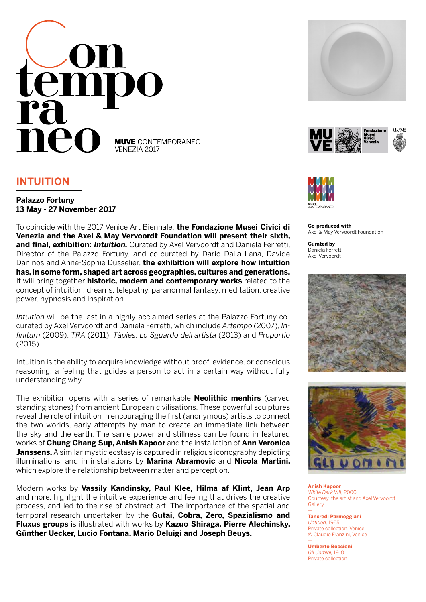

# **INTUITION**

## **Palazzo Fortuny 13 May - 27 November 2017**

To coincide with the 2017 Venice Art Biennale, **the Fondazione Musei Civici di Venezia and the Axel & May Vervoordt Foundation will present their sixth, and final, exhibition:** *Intuition.* Curated by Axel Vervoordt and Daniela Ferretti, Director of the Palazzo Fortuny, and co-curated by Dario Dalla Lana, Davide Daninos and Anne-Sophie Dusselier, **the exhibition will explore how intuition has, in some form, shaped art across geographies, cultures and generations.** It will bring together **historic, modern and contemporary works** related to the concept of intuition, dreams, telepathy, paranormal fantasy, meditation, creative power, hypnosis and inspiration.

*Intuition* will be the last in a highly-acclaimed series at the Palazzo Fortuny cocurated by Axel Vervoordt and Daniela Ferretti, which include *Artempo* (2007), *Infinitum* (2009), *TRA* (2011), *Tàpies. Lo Sguardo dell'artista* (2013) and *Proportio* (2015).

Intuition is the ability to acquire knowledge without proof, evidence, or conscious reasoning: a feeling that guides a person to act in a certain way without fully understanding why.

The exhibition opens with a series of remarkable **Neolithic menhirs** (carved standing stones) from ancient European civilisations. These powerful sculptures reveal the role of intuition in encouraging the first (anonymous) artists to connect the two worlds, early attempts by man to create an immediate link between the sky and the earth. The same power and stillness can be found in featured works of **Chung Chang Sup, Anish Kapoor** and the installation of **Ann Veronica Janssens.** A similar mystic ecstasy is captured in religious iconography depicting illuminations, and in installations by **Marina Abramovic** and **Nicola Martini,**  which explore the relationship between matter and perception.

Modern works by **Vassily Kandinsky, Paul Klee, Hilma af Klint, Jean Arp**  and more, highlight the intuitive experience and feeling that drives the creative process, and led to the rise of abstract art. The importance of the spatial and temporal research undertaken by the **Gutai, Cobra, Zero, Spazialismo and Fluxus groups** is illustrated with works by **Kazuo Shiraga, Pierre Alechinsky, Günther Uecker, Lucio Fontana, Mario Deluigi and Joseph Beuys.** 







**Co-produced with** Axel & May Vervoordt Foundation

**Curated by** Daniela Ferretti Axel Vervoordt





**Anish Kapoor** *White Dark VIII,* 2000 Courtesy the artist and Axel Vervoordt **Gallery** —

**Tancredi Parmeggiani** *Untitled,* 1955 Private collection, Venice © Claudio Franzini, Venice

— **Umberto Boccioni** *Gli Uomini,* 1910 Private collection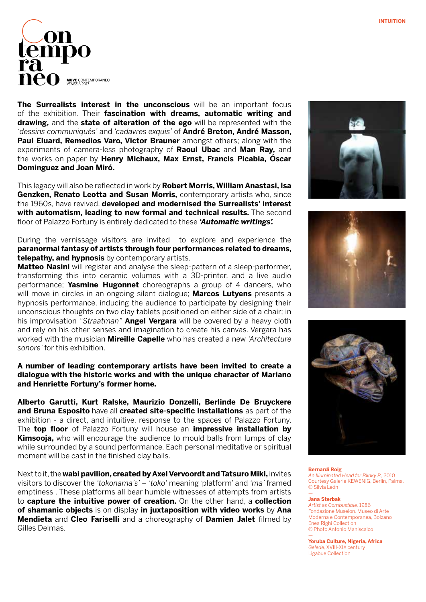

**The Surrealists interest in the unconscious** will be an important focus of the exhibition. Their **fascination with dreams, automatic writing and drawing,** and the **state of alteration of the ego** will be represented with the *'dessins communiqués'* and *'cadavres exquis'* of **André Breton, André Masson, Paul Eluard, Remedios Varo, Victor Brauner** amongst others; along with the experiments of camera-less photography of **Raoul Ubac** and **Man Ray,** and the works on paper by **Henry Michaux, Max Ernst, Francis Picabia, Óscar Dominguez and Joan Miró.**

This legacy will also be reflected in work by **Robert Morris, William Anastasi, Isa Genzken, Renato Leotta and Susan Morris,** contemporary artists who, since the 1960s, have revived, **developed and modernised the Surrealists' interest with automatism, leading to new formal and technical results.** The second floor of Palazzo Fortuny is entirely dedicated to these *'Automatic writings'.*

During the vernissage visitors are invited to explore and experience the **paranormal fantasy of artists through four performances related to dreams, telepathy, and hypnosis** by contemporary artists.

**Matteo Nasini** will register and analyse the sleep-pattern of a sleep-performer, transforming this into ceramic volumes with a 3D-printer, and a live audio performance; **Yasmine Hugonnet** choreographs a group of 4 dancers, who will move in circles in an ongoing silent dialogue; **Marcos Lutyens** presents a hypnosis performance, inducing the audience to participate by designing their unconscious thoughts on two clay tablets positioned on either side of a chair; in his improvisation *"Straatman"* **Angel Vergara** will be covered by a heavy cloth and rely on his other senses and imagination to create his canvas. Vergara has worked with the musician **Mireille Capelle** who has created a new *'Architecture sonore'* for this exhibition.

### **A number of leading contemporary artists have been invited to create a dialogue with the historic works and with the unique character of Mariano and Henriette Fortuny's former home.**

**Alberto Garutti, Kurt Ralske, Maurizio Donzelli, Berlinde De Bruyckere and Bruna Esposito** have all **created site-specific installations** as part of the exhibition - a direct, and intuitive, response to the spaces of Palazzo Fortuny. The **top floor** of Palazzo Fortuny will house an **impressive installation by Kimsooja,** who will encourage the audience to mould balls from lumps of clay while surrounded by a sound performance. Each personal meditative or spiritual moment will be cast in the finished clay balls.

Next to it, the **wabi pavilion, created by Axel Vervoordt and Tatsuro Miki,** invites visitors to discover the *'tokonama's'* – *'toko'* meaning 'platform' and *'ma'* framed emptiness . These platforms all bear humble witnesses of attempts from artists to **capture the intuitive power of creation.** On the other hand, a **collection of shamanic objects** is on display **in juxtaposition with video works** by **Ana Mendieta** and **Cleo Fariselli** and a choreography of **Damien Jalet** filmed by Gilles Delmas.







**Bernardi Roig** *An Illuminated Head for Blinky P.,* 2010 Courtesy Galerie KEWENIG, Berlin, Palma. © Silvia León

#### **Jana Sterbak**

—

—

*Artist as Combustible,* 1986 Fondazione Museion. Museo di Arte Moderna e Contemporanea, Bolzano Enea Righi Collection © Photo Antonio Maniscalco

**Yoruba Culture, Nigeria, Africa** *Gelede,* XVIII-XIX century Ligabue Collection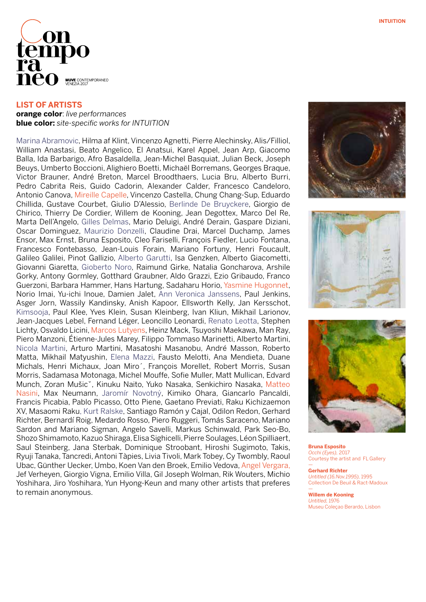

**LIST OF ARTISTS**

**orange color**: *live performances* **blue color:** *site-specific works for INTUITION*

Marina Abramovic, Hilma af Klint, Vincenzo Agnetti, Pierre Alechinsky, Alis/Filliol, William Anastasi, Beato Angelico, El Anatsui, Karel Appel, Jean Arp, Giacomo Balla, Ida Barbarigo, Afro Basaldella, Jean-Michel Basquiat, Julian Beck, Joseph Beuys, Umberto Boccioni, Alighiero Boetti, Michaël Borremans, Georges Braque, Victor Brauner, André Breton, Marcel Broodthaers, Lucia Bru, Alberto Burri, Pedro Cabrita Reis, Guido Cadorin, Alexander Calder, Francesco Candeloro, Antonio Canova, Mireille Capelle, Vincenzo Castella, Chung Chang-Sup, Eduardo Chillida, Gustave Courbet, Giulio D'Alessio, Berlinde De Bruyckere, Giorgio de Chirico, Thierry De Cordier, Willem de Kooning, Jean Degottex, Marco Del Re, Marta Dell'Angelo, Gilles Delmas, Mario Deluigi, André Derain, Gaspare Diziani, Oscar Dominguez, Maurizio Donzelli, Claudine Drai, Marcel Duchamp, James Ensor, Max Ernst, Bruna Esposito, Cleo Fariselli, François Fiedler, Lucio Fontana, Francesco Fontebasso, Jean-Louis Forain, Mariano Fortuny, Henri Foucault, Galileo Galilei, Pinot Gallizio, Alberto Garutti, Isa Genzken, Alberto Giacometti, Giovanni Giaretta, Gioberto Noro, Raimund Girke, Natalia Goncharova, Arshile Gorky, Antony Gormley, Gotthard Graubner, Aldo Grazzi, Ezio Gribaudo, Franco Guerzoni, Barbara Hammer, Hans Hartung, Sadaharu Horio, Yasmine Hugonnet, Norio Imai, Yu-ichi Inoue, Damien Jalet, Ann Veronica Janssens, Paul Jenkins, Asger Jorn, Wassily Kandinsky, Anish Kapoor, Ellsworth Kelly, Jan Kersschot, Kimsooja, Paul Klee, Yves Klein, Susan Kleinberg, Ivan Kliun, Mikhail Larionov, Jean-Jacques Lebel, Fernand Léger, Leoncillo Leonardi, Renato Leotta, Stephen Lichty, Osvaldo Licini, Marcos Lutyens, Heinz Mack, Tsuyoshi Maekawa, Man Ray, Piero Manzoni, Étienne-Jules Marey, Filippo Tommaso Marinetti, Alberto Martini, Nicola Martini, Arturo Martini, Masatoshi Masanobu, André Masson, Roberto Matta, Mikhail Matyushin, Elena Mazzi, Fausto Melotti, Ana Mendieta, Duane Michals, Henri Michaux, Joan Miro´, François Morellet, Robert Morris, Susan Morris, Sadamasa Motonaga, Michel Mouffe, Sofie Muller, Matt Mullican, Edvard Munch, Zoran Mušicˇ, Kinuku Naito, Yuko Nasaka, Senkichiro Nasaka, Matteo Nasini, Max Neumann, Jaromír Novotný, Kimiko Ohara, Giancarlo Pancaldi, Francis Picabia, Pablo Picasso, Otto Piene, Gaetano Previati, Raku Kichizaemon XV, Masaomi Raku, Kurt Ralske, Santiago Ramón y Cajal, Odilon Redon, Gerhard Richter, Bernardí Roig, Medardo Rosso, Piero Ruggeri, Tomás Saraceno, Mariano Sardon and Mariano Sigman, Angelo Savelli, Markus Schinwald, Park Seo-Bo, Shozo Shimamoto, Kazuo Shiraga, Elisa Sighicelli, Pierre Soulages, Léon Spilliaert, Saul Steinberg, Jana Sterbak, Dominique Stroobant, Hiroshi Sugimoto, Takis, Ryuji Tanaka, Tancredi, Antoni Tàpies, Livia Tivoli, Mark Tobey, Cy Twombly, Raoul Ubac, Günther Uecker, Umbo, Koen Van den Broek, Emilio Vedova, Angel Vergara, Jef Verheyen, Giorgio Vigna, Emilio Villa, Gil Joseph Wolman, Rik Wouters, Michio Yoshihara, Jiro Yoshihara, Yun Hyong-Keun and many other artists that preferes to remain anonymous.







**Bruna Esposito** *Occhi (Eyes),* 2017 Courtesy the artist and FL Gallery

— **Gerhard Richter** *Untitled (16.Nov.1995),* 1995 Collection De Beuil & Ract-Madoux

— **Willem de Kooning** *Untitled,* 1976 Museu Coleçao Berardo, Lisbon